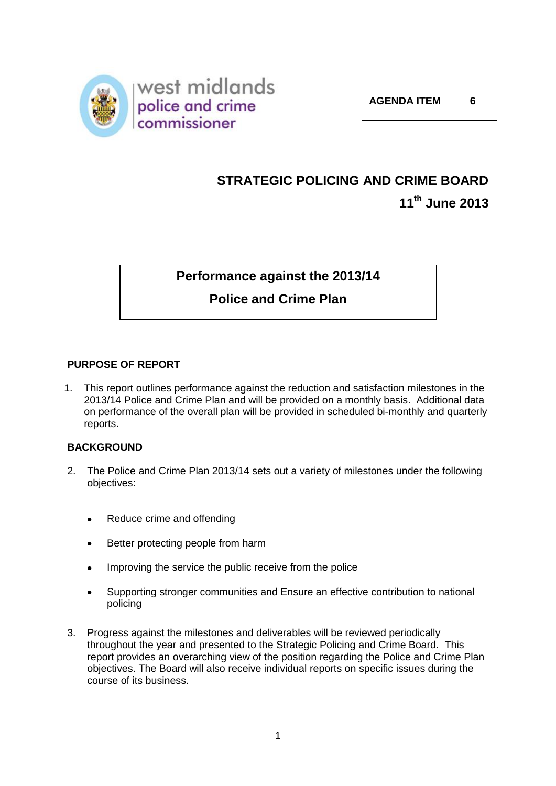

# **STRATEGIC POLICING AND CRIME BOARD 11th June 2013**

**Performance against the 2013/14** 

# **Police and Crime Plan**

# **PURPOSE OF REPORT**

1. This report outlines performance against the reduction and satisfaction milestones in the 2013/14 Police and Crime Plan and will be provided on a monthly basis. Additional data on performance of the overall plan will be provided in scheduled bi-monthly and quarterly reports.

# **BACKGROUND**

- 2. The Police and Crime Plan 2013/14 sets out a variety of milestones under the following objectives:
	- Reduce crime and offending  $\bullet$
	- Better protecting people from harm  $\bullet$
	- Improving the service the public receive from the police
	- Supporting stronger communities and Ensure an effective contribution to national policing
- 3. Progress against the milestones and deliverables will be reviewed periodically throughout the year and presented to the Strategic Policing and Crime Board. This report provides an overarching view of the position regarding the Police and Crime Plan objectives. The Board will also receive individual reports on specific issues during the course of its business.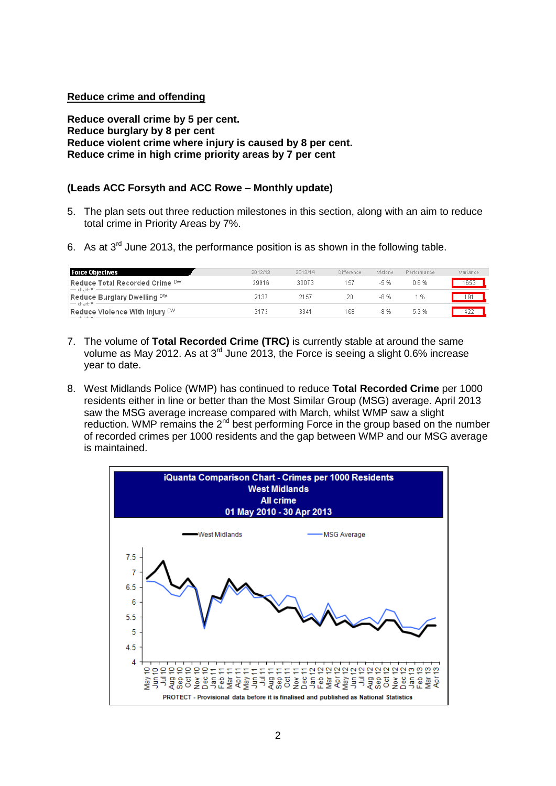# **Reduce crime and offending**

**Reduce overall crime by 5 per cent. Reduce burglary by 8 per cent Reduce violent crime where injury is caused by 8 per cent. Reduce crime in high crime priority areas by 7 per cent**

# **(Leads ACC Forsyth and ACC Rowe – Monthly update)**

- 5. The plan sets out three reduction milestones in this section, along with an aim to reduce total crime in Priority Areas by 7%.
- 6. As at  $3<sup>rd</sup>$  June 2013, the performance position is as shown in the following table.

| <b>Force Objectives</b>                                      | 2012/13 | 2013/14 | Difference | M'stone | Performance | Variance |
|--------------------------------------------------------------|---------|---------|------------|---------|-------------|----------|
| Reduce Total Recorded Crime DW<br>$-$ chart $\overline{r}$ - | 29916   | 30073   | 157        | $-5%$   | 0.6%        | 1653     |
| Reduce Burglary Dwelling DW<br>$-$ chart $\overline{\tau}$ - | 2137    | 2157    | 20.        | -8 %    | -%          | 191      |
| Reduce Violence With Injury DW                               | 3173    | 3341    | 168        | -8 %    | 5.3%        |          |

- 7. The volume of **Total Recorded Crime (TRC)** is currently stable at around the same volume as May 2012. As at 3<sup>rd</sup> June 2013, the Force is seeing a slight 0.6% increase year to date.
- 8. West Midlands Police (WMP) has continued to reduce **Total Recorded Crime** per 1000 residents either in line or better than the Most Similar Group (MSG) average. April 2013 saw the MSG average increase compared with March, whilst WMP saw a slight reduction. WMP remains the  $2^{nd}$  best performing Force in the group based on the number of recorded crimes per 1000 residents and the gap between WMP and our MSG average is maintained.

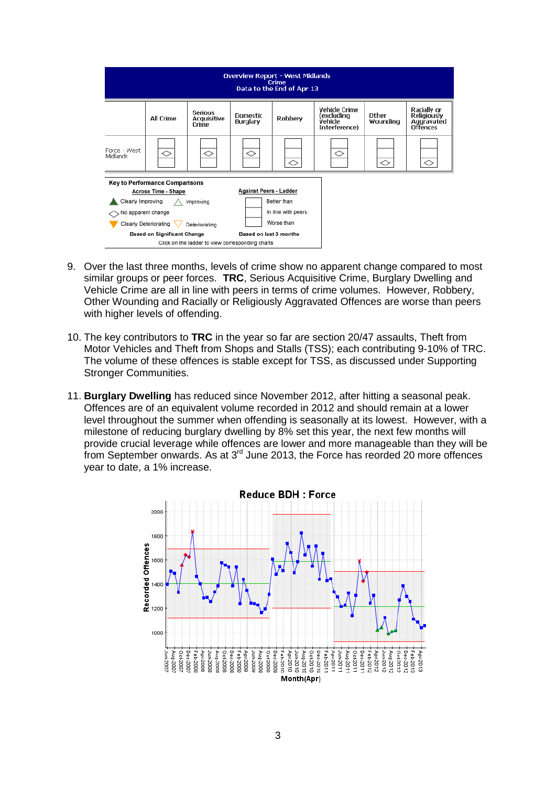| <b>Overview Report - West Midlands</b><br>Crime<br>Data to the End of Apr 13                                                                                                                                                                                     |                  |                                        |                                    |                |                                                                |                   |                                                                    |
|------------------------------------------------------------------------------------------------------------------------------------------------------------------------------------------------------------------------------------------------------------------|------------------|----------------------------------------|------------------------------------|----------------|----------------------------------------------------------------|-------------------|--------------------------------------------------------------------|
|                                                                                                                                                                                                                                                                  | <b>All Crime</b> | <b>Serious</b><br>Acquisitive<br>Crime | <b>Domestic</b><br><b>Burglary</b> | <b>Robbery</b> | <b>Vehicle Crime</b><br>excluding)<br>Vehicle<br>Interference) | Other<br>Wounding | Racially or<br><b>Religiously</b><br>Aggravated<br><b>Offences</b> |
| Force - West<br><b>Midlands</b>                                                                                                                                                                                                                                  | ◇                | ◇                                      | ◇                                  | ◇              | ◇                                                              | $\Diamond$        | ◇                                                                  |
| <b>Key to Performance Comparisons</b><br><b>Against Peers - Ladder</b><br><b>Across Time - Shape</b><br><b>Better than</b><br>Clearly Improving<br>Improving<br>In line with peers<br>No apparent change<br>Worse than<br>Clearly Deteriorating<br>Deteriorating |                  |                                        |                                    |                |                                                                |                   |                                                                    |
| <b>Based on Significant Change</b><br>Based on last 3 months<br>Click on the ladder to view corresponding charts                                                                                                                                                 |                  |                                        |                                    |                |                                                                |                   |                                                                    |

- 9. Over the last three months, levels of crime show no apparent change compared to most similar groups or peer forces. **TRC**, Serious Acquisitive Crime, Burglary Dwelling and Vehicle Crime are all in line with peers in terms of crime volumes. However, Robbery, Other Wounding and Racially or Religiously Aggravated Offences are worse than peers with higher levels of offending.
- 10. The key contributors to **TRC** in the year so far are section 20/47 assaults, Theft from Motor Vehicles and Theft from Shops and Stalls (TSS); each contributing 9-10% of TRC. The volume of these offences is stable except for TSS, as discussed under Supporting Stronger Communities.
- 11. **Burglary Dwelling** has reduced since November 2012, after hitting a seasonal peak. Offences are of an equivalent volume recorded in 2012 and should remain at a lower level throughout the summer when offending is seasonally at its lowest. However, with a milestone of reducing burglary dwelling by 8% set this year, the next few months will provide crucial leverage while offences are lower and more manageable than they will be from September onwards. As at 3rd June 2013, the Force has reorded 20 more offences year to date, a 1% increase.

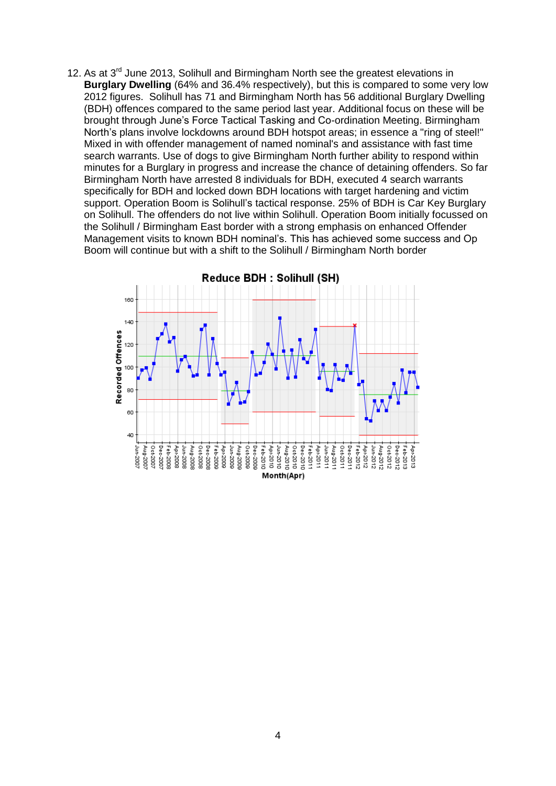12. As at 3<sup>rd</sup> June 2013, Solihull and Birmingham North see the greatest elevations in **Burglary Dwelling** (64% and 36.4% respectively), but this is compared to some very low 2012 figures. Solihull has 71 and Birmingham North has 56 additional Burglary Dwelling (BDH) offences compared to the same period last year. Additional focus on these will be brought through June's Force Tactical Tasking and Co-ordination Meeting. Birmingham North's plans involve lockdowns around BDH hotspot areas; in essence a "ring of steel!" Mixed in with offender management of named nominal's and assistance with fast time search warrants. Use of dogs to give Birmingham North further ability to respond within minutes for a Burglary in progress and increase the chance of detaining offenders. So far Birmingham North have arrested 8 individuals for BDH, executed 4 search warrants specifically for BDH and locked down BDH locations with target hardening and victim support. Operation Boom is Solihull's tactical response. 25% of BDH is Car Key Burglary on Solihull. The offenders do not live within Solihull. Operation Boom initially focussed on the Solihull / Birmingham East border with a strong emphasis on enhanced Offender Management visits to known BDH nominal's. This has achieved some success and Op Boom will continue but with a shift to the Solihull / Birmingham North border

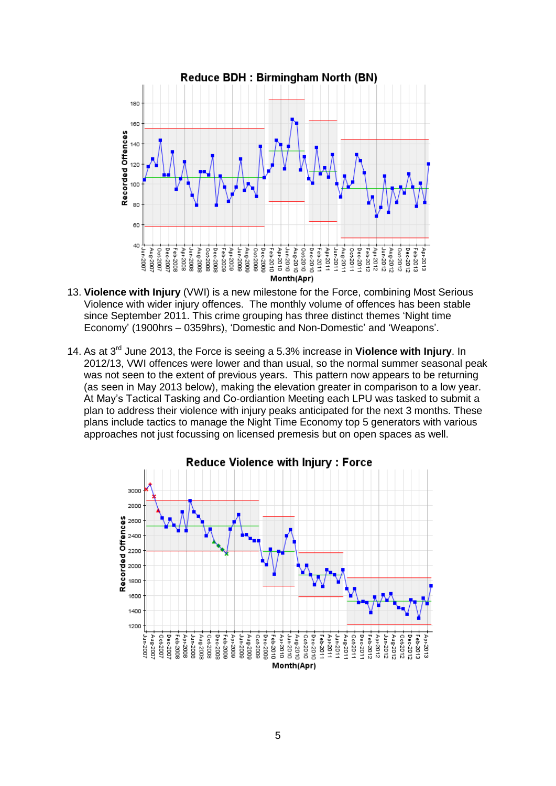

- 13. **Violence with Injury** (VWI) is a new milestone for the Force, combining Most Serious Violence with wider injury offences. The monthly volume of offences has been stable since September 2011. This crime grouping has three distinct themes 'Night time Economy' (1900hrs – 0359hrs), 'Domestic and Non-Domestic' and 'Weapons'.
- 14. As at 3rd June 2013, the Force is seeing a 5.3% increase in **Violence with Injury**. In 2012/13, VWI offences were lower and than usual, so the normal summer seasonal peak was not seen to the extent of previous years. This pattern now appears to be returning (as seen in May 2013 below), making the elevation greater in comparison to a low year. At May's Tactical Tasking and Co-ordiantion Meeting each LPU was tasked to submit a plan to address their violence with injury peaks anticipated for the next 3 months. These plans include tactics to manage the Night Time Economy top 5 generators with various approaches not just focussing on licensed premesis but on open spaces as well.

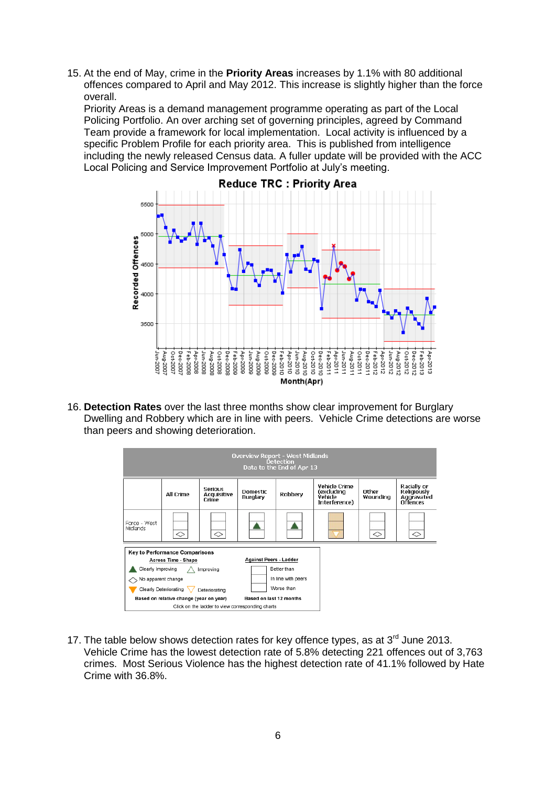15. At the end of May, crime in the **Priority Areas** increases by 1.1% with 80 additional offences compared to April and May 2012. This increase is slightly higher than the force overall.

Priority Areas is a demand management programme operating as part of the Local Policing Portfolio. An over arching set of governing principles, agreed by Command Team provide a framework for local implementation. Local activity is influenced by a specific Problem Profile for each priority area. This is published from intelligence including the newly released Census data. A fuller update will be provided with the ACC Local Policing and Service Improvement Portfolio at July's meeting.



16. **Detection Rates** over the last three months show clear improvement for Burglary Dwelling and Robbery which are in line with peers. Vehicle Crime detections are worse than peers and showing deterioration.



17. The table below shows detection rates for key offence types, as at  $3<sup>rd</sup>$  June 2013. Vehicle Crime has the lowest detection rate of 5.8% detecting 221 offences out of 3,763 crimes. Most Serious Violence has the highest detection rate of 41.1% followed by Hate Crime with 36.8%.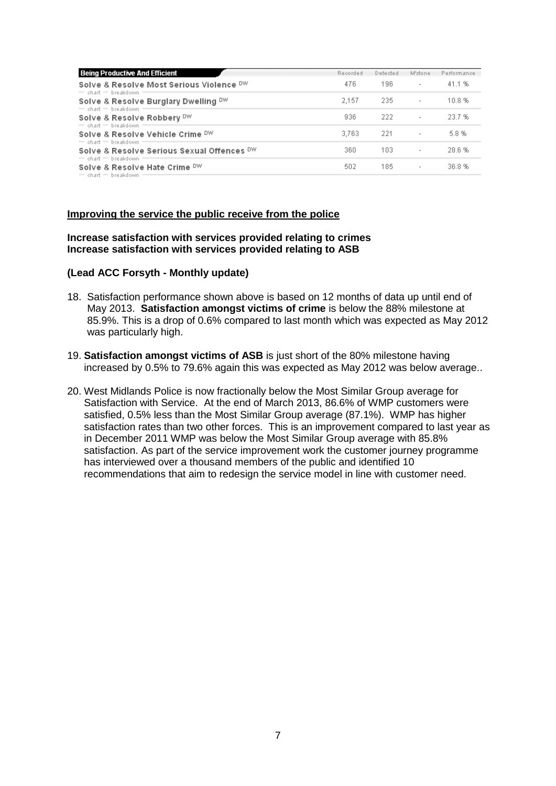| <b>Being Productive And Efficient</b>                                                  | Recorded | Detected | M'stone                  | Performance |
|----------------------------------------------------------------------------------------|----------|----------|--------------------------|-------------|
| Solve & Resolve Most Serious Violence DW<br>$=$ chart $=$ breakdown                    | 476      | 196.     | $\overline{\phantom{a}}$ | 41.1%       |
| Solve & Resolve Burglary Dwelling DW<br>$=$ chart $=$ breakdown                        | 2.157    | -235     | $\overline{\phantom{a}}$ | 10.8%       |
| Solve & Resolve Robbery DW                                                             | 936      | -222     | $\overline{\phantom{a}}$ | 23.7%       |
| $=$ chart $=$ breakdown<br>Solve & Resolve Vehicle Crime DW<br>$=$ chart $=$ breakdown | 3.763    | -221     | $\overline{\phantom{a}}$ | 5.8%        |
| Solve & Resolve Serious Sexual Offences DW<br>$=$ chart $=$ breakdown                  | 360      | 103.     | $\overline{\phantom{a}}$ | 28.6%       |
| Solve & Resolve Hate Crime DW<br>$=$ chart $=$ breakdown =                             | 502      | 185      | $\overline{\phantom{a}}$ | 36.8%       |

#### **Improving the service the public receive from the police**

#### **Increase satisfaction with services provided relating to crimes Increase satisfaction with services provided relating to ASB**

#### **(Lead ACC Forsyth - Monthly update)**

- 18. Satisfaction performance shown above is based on 12 months of data up until end of May 2013. **Satisfaction amongst victims of crime** is below the 88% milestone at 85.9%. This is a drop of 0.6% compared to last month which was expected as May 2012 was particularly high.
- 19. **Satisfaction amongst victims of ASB** is just short of the 80% milestone having increased by 0.5% to 79.6% again this was expected as May 2012 was below average..
- 20. West Midlands Police is now fractionally below the Most Similar Group average for Satisfaction with Service. At the end of March 2013, 86.6% of WMP customers were satisfied, 0.5% less than the Most Similar Group average (87.1%). WMP has higher satisfaction rates than two other forces. This is an improvement compared to last year as in December 2011 WMP was below the Most Similar Group average with 85.8% satisfaction. As part of the service improvement work the customer journey programme has interviewed over a thousand members of the public and identified 10 recommendations that aim to redesign the service model in line with customer need.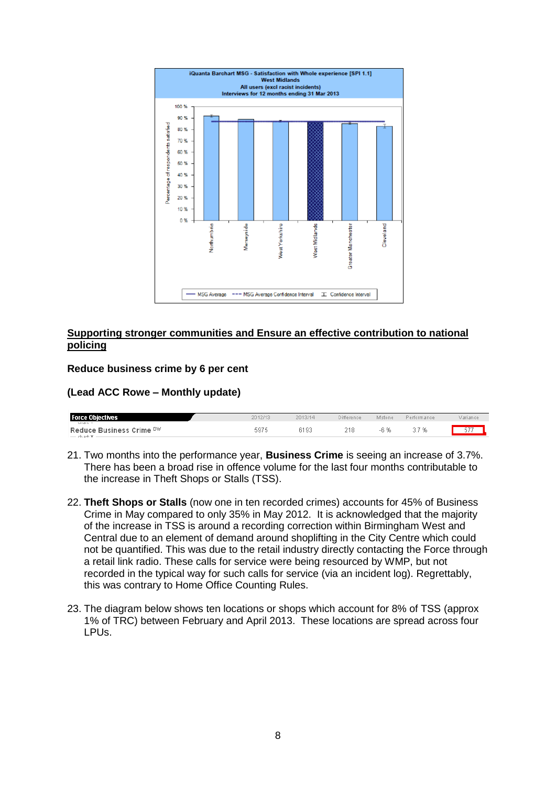

# **Supporting stronger communities and Ensure an effective contribution to national policing**

#### **Reduce business crime by 6 per cent**

#### **(Lead ACC Rowe – Monthly update)**

| <b>Force Objectives</b>  | 2012/1: | 2013/14 | Difference | M'stone | ormance | Variance |
|--------------------------|---------|---------|------------|---------|---------|----------|
| VIIGHT !                 |         |         |            |         |         |          |
| Reduce Business Crime DW | 597 E   | 6193    | . .        | -16     | %<br>u. | $- -$    |

- 21. Two months into the performance year, **Business Crime** is seeing an increase of 3.7%. There has been a broad rise in offence volume for the last four months contributable to the increase in Theft Shops or Stalls (TSS).
- 22. **Theft Shops or Stalls** (now one in ten recorded crimes) accounts for 45% of Business Crime in May compared to only 35% in May 2012. It is acknowledged that the majority of the increase in TSS is around a recording correction within Birmingham West and Central due to an element of demand around shoplifting in the City Centre which could not be quantified. This was due to the retail industry directly contacting the Force through a retail link radio. These calls for service were being resourced by WMP, but not recorded in the typical way for such calls for service (via an incident log). Regrettably, this was contrary to Home Office Counting Rules.
- 23. The diagram below shows ten locations or shops which account for 8% of TSS (approx 1% of TRC) between February and April 2013. These locations are spread across four LPUs.